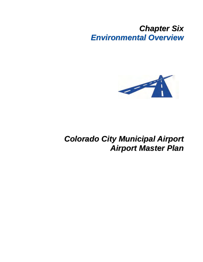## *Chapter Six Environmental Overview*



## *Colorado City Municipal Airport Airport Master Plan*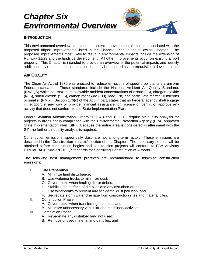# *Chapter Six Environmental Overview*

#### **INTRODUCTION**

This environmental overview examines the potential environmental impacts associated with the proposed airport improvements listed in the Financial Plan in the following Chapter. The proposed improvements most likely to result in environmental impacts include the extension of Runway 11/29 and the landside development. All other improvements occur on existing airport property. This Chapter is intended to provide an overview of the potential impacts and identify additional environmental documentation that may be required as a prerequisite to development.

#### **AIR QUALITY**

The Clean Air Act of 1970 was enacted to reduce emissions of specific pollutants via uniform Federal standards. These standards include the National Ambient Air Quality Standards (NAAQS) which set maximum allowable ambient concentrations of ozone  $(O_3)$ , nitrogen dioxide  $(NO<sub>2</sub>)$ , sulfur dioxide (SO<sub>2</sub>), carbon monoxide (CO), lead (Pb) and particulate matter 10 microns or smaller ( $PM_{10}$ ). Section 176(c) of the Act, in part, states that no Federal agency shall engage in, support in any way or provide financial assistance for, license or permit or approve any activity that does not conform to the State Implementation Plan.

Federal Aviation Administration Orders 5050.4B and 1050.1E require air quality analysis for projects in areas not in compliance with the Environmental Protection Agency (EPA) approved State Implementation Plan (SIP). Because the entire area is considered in attainment with the SIP, no further air quality analysis is required.

Construction emissions, specifically dust, are not a long-term factor. These emissions are described in the "Construction Impacts" section of this Chapter. The necessary permits will be obtained before construction begins and construction projects will conform to FAA Advisory Circular (AC) 150/5370-10C, Standards for Specifying Construction of Airports.

The following best management practices are recommended to minimize construction emissions:

- I. Site Preparation
	- A. Minimize land disturbance;
	- B. Use watering trucks to minimize dust;
	- C. Cover trucks when hauling dirt or debris;
	- D. Stabilize the surface of dirt piles and any disturbed areas;
	- E. Use windbreaks to prevent any accidental dust pollution; and
	- F. Segregate storm water drainage from construction sites and material piles.
- II. Construction Phase
	- A. Cover trucks when transferring materials; and
	- B. Minimize unnecessary vehicular and machinery activities.
- III. Completion Phase
	- A. Revegetate any disturbed land not used;
	- B. Remove unused material and dirt piles; and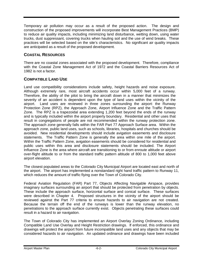Temporary air pollution may occur as a result of the proposed action. The design and construction of the proposed improvements will incorporate Best Management Practices (BMP) to reduce air quality impacts, including minimizing land disturbance, wetting down, using water trucks, dust suppressant, covering trucks when hauling soil and the use of wind breaks. These practices will be selected based on the site's characteristics. No significant air quality impacts are anticipated as a result of the proposed development.

## **COASTAL RESOURCES**

There are no coastal zones associated with the proposed development. Therefore, compliance with the Coastal Zone Management Act of 1972 and the Coastal Barriers Resources Act of 1982 is not a factor.

## **COMPATIBLE LAND USE**

Land use compatibility considerations include safety, height hazards and noise exposure. Although extremely rare, most aircraft accidents occur within 5,000 feet of a runway. Therefore, the ability of the pilot to bring the aircraft down in a manner that minimizes the severity of an accident is dependent upon the type of land uses within the vicinity of the airport. Land uses are reviewed in three zones surrounding the airport: the Runway Protection Zone (RPZ), the Approach Zone, Airport Influence Zone and the Traffic Pattern Zone. The RPZ is a trapezoidal area extending 1,200 feet beyond the ends of the runway and is typically included within the airport property boundary. Residential and other uses that result in congregations of people are not recommended within the runway protection zone. The approach zone generally falls within the FAR Part 77 Approach Surface area. Within the approach zone, public land uses, such as schools, libraries, hospitals and churches should be avoided. New residential developments should include avigation easements and disclosure statements. The Traffic Pattern Zone is generally the area within one mile of the airport. Within the Traffic Pattern Zone, avigation easements should be considered for residential and public uses within this area and disclosure statements should be included. The Airport Influence Zone is the area where aircraft are transitioning to or from enroute altitude or airport over-flight altitude to or from the standard traffic pattern altitude of 800 to 1,000 feet above airport elevation.

The closest populated areas to the Colorado City Municipal Airport are located east and north of the airport. The airport has implemented a nonstandard right hand traffic pattern to Runway 11, which reduces the amount of traffic flying over the Town of Colorado City.

Federal Aviation Regulation (FAR) Part 77, Objects Affecting Navigable Airspace, provides imaginary surfaces surrounding an airport that should be protected from penetration by objects. These include the approach surface, horizontal surface and conical surface. These surfaces were described in Chapter 4. Proposed structures in the vicinity of the airport should be reviewed against the Part 77 criteria to ensure hazards to air navigation are not created. Because the terrain off the end of the runways is lower than the runway elevation, no penetrations to the approach surface currently exist. Objects penetrating these surfaces could result in a hazard to air navigation.

The Town of Colorado City has implemented an Airport Overlay Zoning Ordinance, including Compatible Land Use Overlay and Height Restriction drawings. If enforced, this ordinance and drawings will protect the airport from future incompatible land uses and any objects that may be considered hazards to air navigation. An updated ordinance and drawings have been included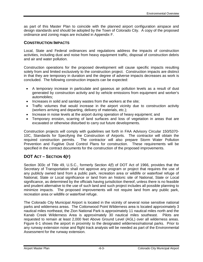as part of this Master Plan to coincide with the planned airport configuration airspace and design standards and should be adopted by the Town of Colorado City. A copy of the proposed ordinance and zoning maps are included in Appendix F.

#### **CONSTRUCTION IMPACTS**

Local, State and Federal ordinances and regulations address the impacts of construction activities, including dust and noise from heavy equipment traffic, disposal of construction debris and air and water pollution.

Construction operations for the proposed development will cause specific impacts resulting solely from and limited exclusively to the construction project. Construction impacts are distinct in that they are temporary in duration and the degree of adverse impacts decreases as work is concluded. The following construction impacts can be expected:

- A temporary increase in particulate and gaseous air pollution levels as a result of dust generated by construction activity and by vehicle emissions from equipment and worker's automobiles;
- Increases in solid and sanitary wastes from the workers at the site;
- Traffic volumes that would increase in the airport vicinity due to construction activity (workers arriving and departing, delivery of materials, etc.);
- Increase in noise levels at the airport during operation of heavy equipment; and
- Temporary erosion, scarring of land surfaces and loss of vegetation in areas that are excavated or otherwise disturbed to carry out future developments.

Construction projects will comply with guidelines set forth in FAA Advisory Circular 150/5370- 10C, Standards for Specifying the Construction of Airports. The contractor will obtain the required construction permits. The contractor will also prepare Storm Water Pollution Prevention and Fugitive Dust Control Plans for construction. These requirements will be specified in the contract documents for the construction of the proposed improvements.

## **DOT ACT – SECTION 4(F)**

Section 303c of Title 49, U.S.C., formerly Section 4(f) of DOT Act of 1966, provides that the Secretary of Transportation shall not approve any program or project that requires the use of any publicly owned land from a public park, recreation area or wildlife or waterfowl refuge of National, State or Local significance or land from an historic site of National, State or Local significance, as determined by the officials having jurisdiction thereof, unless there is no feasible and prudent alternative to the use of such land and such project includes all possible planning to minimize impacts. The proposed improvements will not require land from any public park, recreation area or wildlife or waterfowl refuge.

The Colorado City Municipal Airport is located in the vicinity of several noise sensitive national parks and wilderness areas. The Cottonwood Point Wilderness area is located approximately 3 nautical miles northeast, the Zion National Park is approximately 11 nautical miles north and the Kanab Creek Wilderness Area is approximately 30 nautical miles southeast. Pilots are requested to remain at least 2,000 feet Above Ground Level (AGL) over all wilderness areas. Figure 6-1 shows the airport in proximity to the designated wilderness/national parks. Prior to any runway extension noise and flight track analysis will be needed as part of the Environmental Assessment for the runway extension.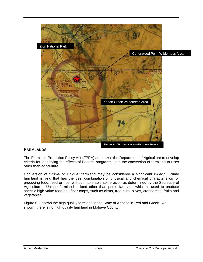

## **FARMLANDS**

The Farmland Protection Policy Act (FPPA) authorizes the Department of Agriculture to develop criteria for identifying the effects of Federal programs upon the conversion of farmland to uses other than agriculture.

Conversion of "Prime or Unique" farmland may be considered a significant impact. Prime farmland is land that has the best combination of physical and chemical characteristics for producing food, feed or fiber without intolerable soil erosion as determined by the Secretary of Agriculture. Unique farmland is land other than prime farmland which is used to produce specific high value food and fiber crops, such as citrus, tree nuts, olives, cranberries, fruits and vegetables.

Figure 6-2 shows the high quality farmland in the State of Arizona in Red and Green. As shown, there is no high quality farmland in Mohave County.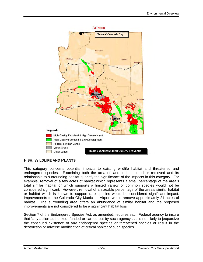

## **FISH, WILDLIFE AND PLANTS**

This category concerns potential impacts to existing wildlife habitat and threatened and endangered species. Examining both the area of land to be altered or removed and its relationship to surrounding habitat quantify the significance of the impacts in this category. For example, removal of a few acres of habitat which represents a small percentage of the area's total similar habitat or which supports a limited variety of common species would not be considered significant. However, removal of a sizeable percentage of the area's similar habitat or habitat which is known to support rare species would be considered significant impact. Improvements to the Colorado City Municipal Airport would remove approximately 21 acres of habitat. The surrounding area offers an abundance of similar habitat and the proposed improvements are not considered to be a significant habitat loss.

Section 7 of the Endangered Species Act, as amended, requires each Federal agency to insure that "any action authorized, funded or carried out by such agency . . . is not likely to jeopardize the continued existence of any endangered species or threatened species or result in the destruction or adverse modification of critical habitat of such species . . .".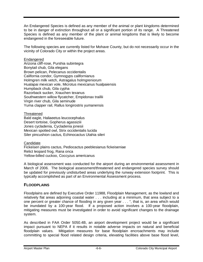An Endangered Species is defined as any member of the animal or plant kingdoms determined to be in danger of extinction throughout all or a significant portion of its range. A Threatened Species is defined as any member of the plant or animal kingdoms that is likely to become endangered in the foreseeable future.

The following species are currently listed for Mohave County, but do not necessarily occur in the vicinity of Colorado City or within the project areas.

#### **Endangered**

Arizona cliff-rose, Purshia subintegra Bonytail chub, Gila elegans Brown pelican, Pelecanus occidentalis California condor, Gymnogyps californianus Holmgren milk vetch, Astragalus holmgreniorum Hualapai mexican vole, Microtus mexicanus hualpaiensis Humpback chub, Gila cypha Razorback sucker, Xrauchen texanus Southwestern willow flycatcher, Empidonax traillii Virgin river chub, Gila seminude Yuma clapper rail, Rallus longirostris yumanensis

**Threatened** Bald eagle, Haliaeetus leucocephalus Desert tortoise, Gopherus agassiziii Jones cycladenia, Cycladenia jonesii Mexican spotted owl, Strix occidentalis lucida Siler pincushion cactus, Echinocactus Utahia sileri

**Candidate** 

Fickeisen plains cactus, Pediocactus peeblesianus fickeiseniae Relict leopard frog, Rana onca Yellow-billed cuckoo, Coccyzus americanus

A biological assessment was conducted for the airport during an environmental assessment in March of 2006. The biological assessment/threatened and endangered species survey should be updated for previously undisturbed areas underlying the runway extension footprint. This is typically accomplished as part of an Environmental Assessment process.

## **FLOODPLAINS**

Floodplains are defined by Executive Order 11988, Floodplain Management, as the lowland and relatively flat areas adjoining coastal water . . . including at a minimum, that area subject to a one percent or greater chance of flooding in any given year . . . ", that is, an area which would be inundated by a 100-year flood. If a proposed action involves a 100-year floodplain, mitigating measures must be investigated in order to avoid significant changes to the drainage system.

As described in FAA Order 5050.4B, an airport development project would be a significant impact pursuant to NEPA if it results in notable adverse impacts on natural and beneficial floodplain values. Mitigation measures for base floodplain encroachments may include committing to special flood related design criteria, elevating facilities above base flood level,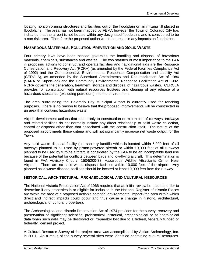locating nonconforming structures and facilities out of the floodplain or minimizing fill placed in floodplains. The area has not been mapped by FEMA however the Town of Colorado City has indicated that the airport is not located within any designated floodplains and is considered to be a non risk area. Therefore the proposed action would not result in any impacts on floodplains.

### **HAZARDOUS MATERIALS, POLLUTION PREVENTION AND SOLID WASTE**

Four primary laws have been passed governing the handling and disposal of hazardous materials, chemicals, substances and wastes. The two statutes of most importance to the FAA in proposing actions to construct and operate facilities and navigational aids are the Resource Conservation and Recovery Act (RCRA) (as amended by the Federal Facilities Compliance Act of 1992) and the Comprehensive Environmental Response, Compensation and Liability Act (CERCLA), as amended by the Superfund Amendments and Reauthorization Act of 1986 (SARA or Superfund) and the Community Environmental Response Facilitation Act of 1992. RCRA governs the generation, treatment, storage and disposal of hazardous wastes. CERCLA provides for consultation with natural resources trustees and cleanup of any release of a hazardous substance (excluding petroleum) into the environment.

The area surrounding the Colorado City Municipal Airport is currently used for ranching purposes. There is no reason to believe that the proposed improvements will be constructed in an area that contains hazardous waste.

Airport development actions that relate only to construction or expansion of runways, taxiways and related facilities do not normally include any direct relationship to solid waste collection, control or disposal other than that associated with the construction itself. The nature of the proposed airport meets these criteria and will not significantly increase net waste output for the Town.

Any solid waste disposal facility (i.e. sanitary landfill) which is located within 5,000 feet of all runways planned to be used by piston-powered aircraft or within 10,000 feet of all runways planned to be used by turbine aircraft, is considered by the FAA to be an incompatible land use because of the potential for conflicts between birds and low-flying aircraft. This determination is found in FAA Advisory Circular 150/5200-33, Hazardous Wildlife Attractants On or Near Airports. There are no solid waste disposal facilities within 10,000 feet of the airport. Any planned solid waste disposal facilities should be located at least 10,000 feet from the runway.

## **HISTORICAL, ARCHITECTURAL, ARCHAEOLOGICAL AND CULTURAL RESOURCES**

The National Historic Preservation Act of 1966 requires that an initial review be made in order to determine if any properties in or eligible for inclusion in the National Register of Historic Places are within the area of a proposed action's potential environmental impact (the area within which direct and indirect impacts could occur and thus cause a change in historic, architectural, archaeological or cultural properties).

The Archaeological and Historic Preservation Act of 1974 provides for the survey, recovery and preservation of significant scientific, prehistorical, historical, archaeological or paleontological data when such data may be destroyed or irreparably lost due to a federal, federally funded or federally licensed project.

A Cultural Resource Survey of the project area was accomplished by Aztlan Archaeology, Inc. in 2001. As a result of the survey several sites were identified containing cultural resources.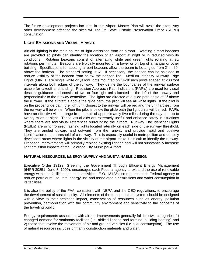The future development projects included in this Airport Master Plan will avoid the sites. Any other development affecting the sites will require State Historic Preservation Office (SHPO) consultation.

### **LIGHT EMISSIONS AND VISUAL IMPACTS**

Airfield lighting is the main source of light emissions from an airport. Rotating airport beacons are provided so pilots can identify the location of an airport at night or in reduced visibility conditions. Rotating beacons consist of alternating white and green lights rotating at six rotations per minute. Beacons are typically mounted on a tower or on top of a hangar or other building. Specifications for spotting airport beacons allow the beam to be angled from  $2^{\circ}$  to 12<sup>o</sup> above the horizon. The standard setting is  $6^\circ$ . If necessary, the beacon can be shielded to reduce visibility of the beacon from below the horizon line. Medium Intensity Runway Edge Lights (MIRLs) are single white or yellow lights mounted on 14-30 inch posts spaced at 200 foot intervals along both edges of the runway. They define the boundaries of the runway surface usable for takeoff and landing. Precision Approach Path Indicators (PAPIs) are used for visual descent guidance and consist of two or four light units located to the left of the runway and perpendicular to the runway centerline. The lights are directed at a glide path angle of 3 $^{\circ}$  above the runway. If the aircraft is above the glide path, the pilot will see all white lights. If the pilot is on the proper glide path, the light unit closest to the runway will be red and the unit farthest from the runway will be white. When the pilot is below the glide path the light units will be red. PAPIs have an effective visual range from the air of approximately five miles during the day and up to twenty miles at night. These visual aids are extremely useful and enhance safety in situations where there are few visual references surrounding the airport. Runway End Identifier Lights (REILs) are synchronized flashing lights located laterally on each side of the runway threshold. They are angled upward and outward from the runway and provide rapid and positive identification of the threshold of a runway. This is especially useful in metropolitan and densely developed areas where lights in the vicinity of the airport make it difficult to identify the runway. Proposed improvements will primarily replace existing lighting and will not substantially increase light emission impacts at the Colorado City Municipal Airport.

## **NATURAL RESOURCES, ENERGY SUPPLY AND SUSTAINABLE DESIGN**

Executive Order 13123, Greening the Government Through Efficient Energy Management (64FR 30851, June 8, 1999), encourages each Federal agency to expand the use of renewable energy within its facilities and in its activities. E.O. 13123 also requires each Federal agency to reduce petroleum use, total energy use and associated air emissions and water consumption in its facilities.

It is also the policy of the FAA, consistent with NEPA and the CEQ regulations, to encourage the development of sustainability. All elements of the transportation system should be designed with a view to their aesthetic impact, conservation of resources such as energy, pollution prevention, harmonization with the community environment and sensitivity to the concerns of the traveling public.

Energy requirements associated with airport improvements generally fall into two categories: 1) changed demand for stationary facilities (i.e. airfield lighting and terminal building heating) and 2) those that involve the movement of air and ground vehicles (i.e. fuel consumption). The use of natural resources includes primarily construction materials and water.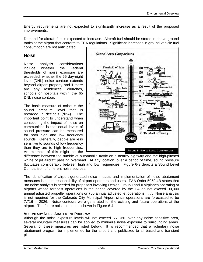Energy requirements are not expected to significantly increase as a result of the proposed improvements.

Demand for aircraft fuel is expected to increase. Aircraft fuel should be stored in above ground tanks at the airport that conform to EPA regulations. Significant increases in ground vehicle fuel consumption are not anticipated.

## **NOISE**

Noise analysis considerations include whether the Federal thresholds of noise exposure are exceeded, whether the 65 day-night level (DNL) noise contour extends beyond airport property and if there are any residences, churches, schools or hospitals within the 65 DNL noise contour.

The basic measure of noise is the sound pressure level that is recorded in decibels (dBA). The important point to understand when considering the impact of noise on communities is that equal levels of sound pressure can be measured for both high and low frequency sounds. Generally, people are less sensitive to sounds of low frequency than they are to high frequencies. An example of this might be the



difference between the rumble of automobile traffic on a nearby highway and the high-pitched whine of jet aircraft passing overhead. At any location, over a period of time, sound pressure fluctuates considerably between high and low frequencies. Figure 6-3 depicts a Sound Level Comparison of different noise sources.

The identification of airport generated noise impacts and implementation of noise abatement measures is a joint responsibility of airport operators and users. FAA Order 5050.4B states that "no noise analysis is needed for proposals involving Design Group I and II airplanes operating at airports whose forecast operations in the period covered by the EA do not exceed 90,000 annual adjusted propeller operations or 700 annual adjusted jet operations . . .". Noise analysis is not required for the Colorado City Municipal Airport since operations are forecasted to be 7,716 in 2026. Noise contours were generated for the existing and future operations at the airport. The future noise contour is shown in Figure 6-4.

## **VOLUNTARY NOISE ABATEMENT PROGRAM**

Although the noise exposure levels will not exceed 65 DNL over any noise sensitive area, several voluntary measures can be applied to minimize noise exposure to surrounding areas. Several of these measures are listed below. It is recommended that a voluntary noise abatement program be implemented for the airport and publicized to all based and transient pilots.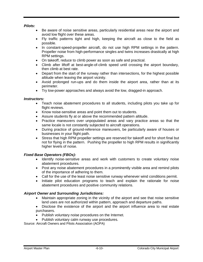*Pilots:* 

- Be aware of noise sensitive areas, particularly residential areas near the airport and avoid low flight over these areas.
- Fly traffic patterns tight and high, keeping the aircraft as close to the field as possible.
- In constant-speed-propeller aircraft, do not use high RPM settings in the pattern. Propeller noise from high-performance singles and twins increases drastically at high RPM settings.
- On takeoff, reduce to climb power as soon as safe and practical.
- Climb after liftoff at best-angle-of-climb speed until crossing the airport boundary, then climb at best rate.
- Depart from the start of the runway rather than intersections, for the highest possible altitude when leaving the airport vicinity.
- Avoid prolonged run-ups and do them inside the airport area, rather than at its perimeter.
- Try low-power approaches and always avoid the low, dragged-in approach.

#### *Instructors:*

- Teach noise abatement procedures to all students, including pilots you take up for flight reviews.
- Know noise-sensitive areas and point them out to students.
- Assure students fly at or above the recommended pattern altitude.
- Practice maneuvers over unpopulated areas and vary practice areas so that the same locale is not constantly subjected to aircraft operations.
- During practice of ground-reference maneuvers, be particularly aware of houses or businesses in your flight path.
- Stress that high RPM propeller settings are reserved for takeoff and for short final but not for flying in the pattern. Pushing the propeller to high RPM results in significantly higher levels of noise.

#### *Fixed Base Operators (FBOs):*

- Identify noise-sensitive areas and work with customers to create voluntary noise abatement procedures.
- Post any noise abatement procedures in a prominently visible area and remind pilots of the importance of adhering to them.
- Call for the use of the least noise sensitive runway whenever wind conditions permit.
- Initiate pilot education programs to teach and explain the rationale for noise abatement procedures and positive community relations.

#### *Airport Owner and Surrounding Jurisdictions:*

- Maintain appropriate zoning in the vicinity of the airport and see that noise sensitive land uses are not authorized within pattern, approach and departure paths.
- Disclose the existence of the airport and the airport influence area to real estate purchasers.
- Publish voluntary noise procedures on the Internet.
- Publish voluntary calm runway use procedures.

Source: Aircraft Owners and Pilots Association (AOPA)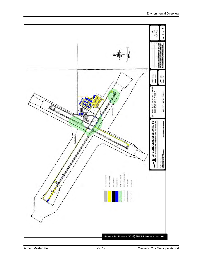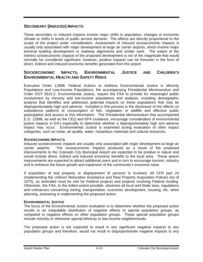## **SECONDARY (INDUCED) IMPACTS**

These secondary or induced impacts involve major shifts in population, changes in economic climate or shifts in levels of public service demand. The effects are directly proportional to the scope of the project under consideration. Assessment of induced socioeconomic impacts is usually only associated with major development at large air carrier airports, which involve major terminal building development or roadway alignments and similar work. The extent of the indirect socioeconomic impacts of the proposed development is not of the magnitude that would normally be considered significant; however, positive impacts can be foreseen in the form of direct, indirect and induced economic benefits generated from the airport.

### **SOCIOECONOMIC IMPACTS, ENVIRONMENTAL JUSTICE AND CHILDREN'S ENVIRONMENTAL HEALTH AND SAFETY RISKS**

Executive Order 12898, Federal Actions to Address Environmental Justice in Minority Populations and Low-Income Populations, the accompanying Presidential Memorandum and Order DOT 5610.2, Environmental Justice, require the FAA to provide for meaningful public involvement by minority and low-income populations and analysis, including demographic analysis that identifies and addresses potential impacts on these populations that may be disproportionately high and adverse. Included in this process is the disclosure of the effects on subsistence patterns of consumption of fish, vegetation or wildlife and effective public participation and access to this information. The Presidential Memorandum that accompanied E.O. 12898, as well as the CEQ and EPA Guidance, encourage consideration of environmental justice impacts in EA's especially to determine whether a disproportionately high and adverse impact may occur. Environmental Justice is examined during evaluation of other impact categories, such as noise, air quality, water, hazardous materials and cultural resources.

#### **SOCIOECONOMIC IMPACTS**

Induced socioeconomic impacts are usually only associated with major development at large air carrier airports. The socioeconomic impacts produced as a result of the proposed improvements to the Colorado City Municipal Airport are expected to be positive in nature and would include direct, indirect and induced economic benefits to the local area. These airport improvements are expected to attract additional users and in turn to encourage tourism, industry and to enhance the future growth and expansion of the community's economic base.

If acquisition of real property or displacement of persons is involved, 49 CFR part 24 (implementing the Uniform Relocation Assistance and Real Property Acquisition Policies Act of 1970), as amended must be met for Federal projects and projects involving Federal funding. Otherwise, the FAA, to the fullest extent possible, observes all local and State laws, regulations and ordinances concerning zoning, transportation, economic development, housing, etc. when planning, assessing or implementing the proposed action.

#### **ENVIRONMENTAL JUSTICE**

The focus of the Environmental Justice evaluation is to determine whether the proposed action results in an inequitable distribution of negative effects to special population groups, as compared to negative effects on other population groups. These special population groups include minority or otherwise special ethnicity or low-income neighborhoods.

The proposed action is not expected to result in any significant negative impacts to any population groups and therefore, would not result in disproportionate negative impacts to any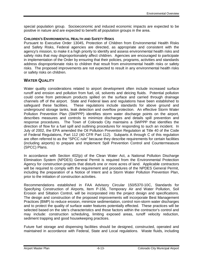special population group. Socioeconomic and induced economic impacts are expected to be positive in nature and are expected to benefit all population groups in the area.

#### **CHILDREN'S ENVIRONMENTAL HEALTH AND SAFETY RISKS**

Pursuant to Executive Order 13045, Protection of Children from Environmental Health Risks and Safety Risks, Federal agencies are directed, as appropriate and consistent with the agency's mission, to make it a high priority to identify and assess environmental health risks and safety risks that may disproportionately affect children. Agencies are encouraged to participate in implementation of the Order by ensuring that their policies, programs, activities and standards address disproportionate risks to children that result from environmental health risks or safety risks. The proposed improvements are not expected to result in any environmental health risks or safety risks on children.

#### **WATER QUALITY**

Water quality considerations related to airport development often include increased surface runoff and erosion and pollution from fuel, oil, solvents and deicing fluids. Potential pollution could come from petroleum products spilled on the surface and carried through drainage channels off of the airport. State and Federal laws and regulations have been established to safeguard these facilities. These regulations include standards for above ground and underground storage tanks, leak detection and overflow protection. An effective Storm Water Pollution Prevention Plan (SWPPP) identifies storm water discharge points on the airport, describes measures and controls to minimize discharges and details spill prevention and response procedures. The Town of Colorado City maintains a SWPPP that identifies the direction of flow for a fuel spill and outlining procedures for responding to such an incident. In July of 2002, the EPA amended the Oil Pollution Prevention Regulation at Title 40 of the Code of Federal Regulations, Part 112 (40 CFR Part 112). Subparts A through C of this regulation are often referred to as the "SPCC rule" because they describe requirements for certain facilities (including airports) to prepare and implement Spill Prevention Control and Countermeasure (SPCC) Plans.

In accordance with Section 402(p) of the Clean Water Act, a National Pollution Discharge Elimination System (NPDES) General Permit is required from the Environmental Protection Agency for construction projects that disturb one or more acres of land. Applicable contractors will be required to comply with the requirement and procedures of the NPDES General Permit, including the preparation of a Notice of Intent and a Storm Water Pollution Prevention Plan, prior to the initiation of construction activities.

Recommendations established in FAA Advisory Circular 150/5370-10C, Standards for Specifying Construction of Airports, Item P-156, Temporary Air and Water Pollution, Soil Erosion and Siltation Control*,* will be incorporated into the project design and specifications. The design and construction of the proposed improvements will incorporate Best Management Practices (BMP) to reduce erosion, minimize sedimentation, control non-storm water discharges and to protect the quality of surface water features potentially effected. These practices will be selected based on the site's characteristics and those factors within the contractor's control and may include: construction scheduling, limiting exposed areas, runoff velocity reduction, sediment trapping and good housekeeping practices.

Future fuel storage and dispensing facilities should be designed, constructed, operated and maintained in accordance with Federal, State and Local regulations. Waste fluids, including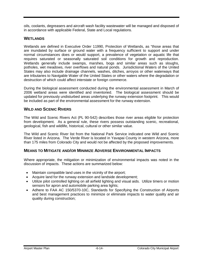oils, coolants, degreasers and aircraft wash facility wastewater will be managed and disposed of in accordance with applicable Federal, State and Local regulations.

#### **WETLANDS**

Wetlands are defined in Executive Order 11990, Protection of Wetlands, as "those areas that are inundated by surface or ground water with a frequency sufficient to support and under normal circumstances does or would support, a prevalence of vegetation or aquatic life that requires saturated or seasonally saturated soil conditions for growth and reproduction. Wetlands generally include swamps, marshes, bogs and similar areas such as sloughs, potholes, wet meadows, river overflows and natural ponds. Jurisdictional Waters of the United States may also include drainage channels, washes, ditches, arroyos or other waterways that are tributaries to Navigable Water of the United States or other waters where the degradation or destruction of which could affect interstate or foreign commerce.

During the biological assessment conducted during the environmental assessment in March of 2006 wetland areas were identified and inventoried. The biological assessment should be updated for previously undisturbed areas underlying the runway extension footprint. This would be included as part of the environmental assessment for the runway extension.

## **WILD AND SCENIC RIVERS**

The Wild and Scenic Rivers Act (PL 90-542) describes those river areas eligible for protection from development. As a general rule, these rivers possess outstanding scenic, recreational, geological, fish and wildlife, historical, cultural or other similar value.

The Wild and Scenic River list from the National Park Service indicated one Wild and Scenic River listed in Arizona. The Verde River is located in Yavapai County in western Arizona, more than 175 miles from Colorado City and would not be affected by the proposed improvements.

#### **MEANS TO MITIGATE AND/OR MINIMIZE ADVERSE ENVIRONMENTAL IMPACTS**

Where appropriate, the mitigation or minimization of environmental impacts was noted in the discussion of impacts. These actions are summarized below:

- Maintain compatible land uses in the vicinity of the airport;
- Acquire land for the runway extension and landside development;
- Utilize pilot controlled lighting on all airfield lighting and visual aids. Utilize timers or motion sensors for apron and automobile parking area lights;
- Adhere to FAA AC 150/5370-10C, Standards for Specifying the Construction of Airports and best management practices to minimize or eliminate impacts to water quality and air quality during construction;